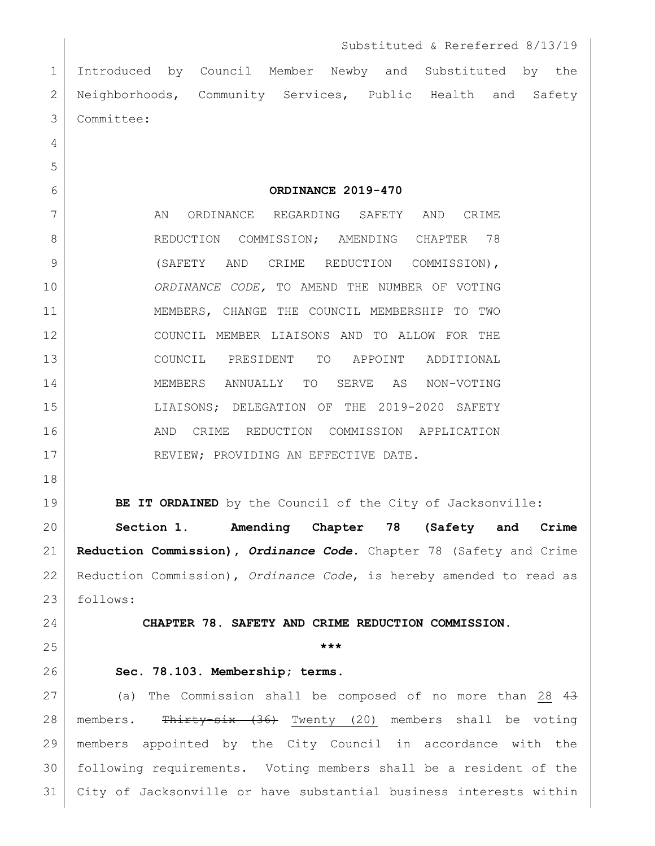Introduced by Council Member Newby and Substituted by the 2 Neighborhoods, Community Services, Public Health and Safety Committee:

**ORDINANCE 2019-470**

7 AN ORDINANCE REGARDING SAFETY AND CRIME 8 REDUCTION COMMISSION; AMENDING CHAPTER 78 9 (SAFETY AND CRIME REDUCTION COMMISSION), *ORDINANCE CODE,* TO AMEND THE NUMBER OF VOTING MEMBERS, CHANGE THE COUNCIL MEMBERSHIP TO TWO COUNCIL MEMBER LIAISONS AND TO ALLOW FOR THE COUNCIL PRESIDENT TO APPOINT ADDITIONAL MEMBERS ANNUALLY TO SERVE AS NON-VOTING LIAISONS; DELEGATION OF THE 2019-2020 SAFETY AND CRIME REDUCTION COMMISSION APPLICATION 17 REVIEW; PROVIDING AN EFFECTIVE DATE.

**BE IT ORDAINED** by the Council of the City of Jacksonville:

 **Section 1. Amending Chapter 78 (Safety and Crime Reduction Commission),** *Ordinance Code***.** Chapter 78 (Safety and Crime Reduction Commission), *Ordinance Code*, is hereby amended to read as follows:

## **CHAPTER 78. SAFETY AND CRIME REDUCTION COMMISSION.**

## **\*\*\***

**Sec. 78.103. Membership; terms.** 

27 (a) The Commission shall be composed of no more than 28 43 28 | members. Thirty-six (36) Twenty (20) members shall be voting members appointed by the City Council in accordance with the following requirements. Voting members shall be a resident of the City of Jacksonville or have substantial business interests within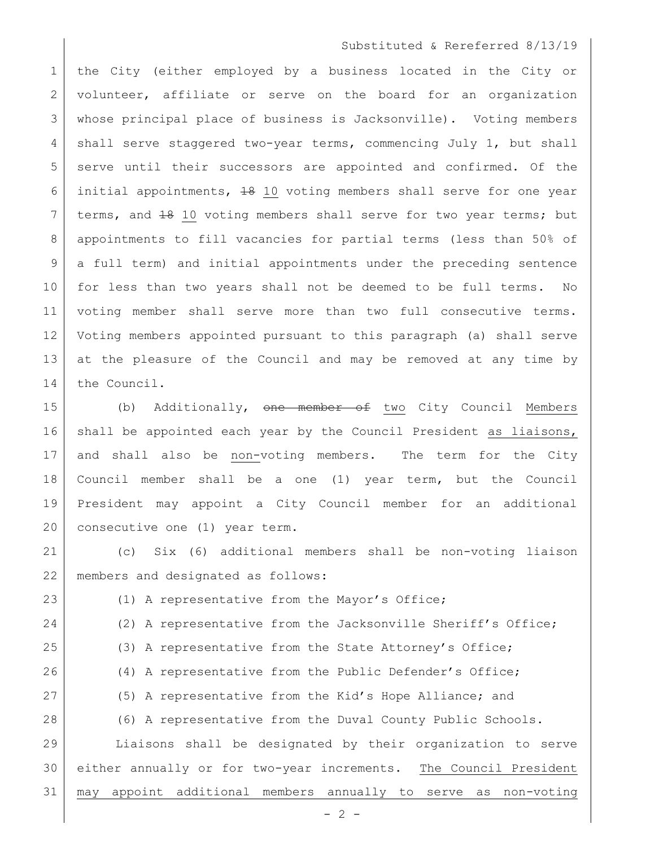## Substituted & Rereferred 8/13/19

 the City (either employed by a business located in the City or 2 volunteer, affiliate or serve on the board for an organization whose principal place of business is Jacksonville). Voting members 4 shall serve staggered two-year terms, commencing July 1, but shall 5 serve until their successors are appointed and confirmed. Of the initial appointments, 18 10 voting members shall serve for one year 7 terms, and  $\frac{18}{10}$  voting members shall serve for two year terms; but appointments to fill vacancies for partial terms (less than 50% of a full term) and initial appointments under the preceding sentence for less than two years shall not be deemed to be full terms. No voting member shall serve more than two full consecutive terms. Voting members appointed pursuant to this paragraph (a) shall serve 13 at the pleasure of the Council and may be removed at any time by the Council.

15 (b) Additionally, one member of two City Council Members 16 shall be appointed each year by the Council President as liaisons, 17 and shall also be non-voting members. The term for the City 18 Council member shall be a one (1) year term, but the Council 19 President may appoint a City Council member for an additional 20 consecutive one (1) year term.

21 (c) Six (6) additional members shall be non-voting liaison 22 members and designated as follows:

 $- 2 -$ 23 (1) A representative from the Mayor's Office; 24 (2) A representative from the Jacksonville Sheriff's Office; 25 (3) A representative from the State Attorney's Office; 26 (4) A representative from the Public Defender's Office; 27 (5) A representative from the Kid's Hope Alliance; and 28 (6) A representative from the Duval County Public Schools. 29 Liaisons shall be designated by their organization to serve 30 either annually or for two-year increments. The Council President 31 may appoint additional members annually to serve as non-voting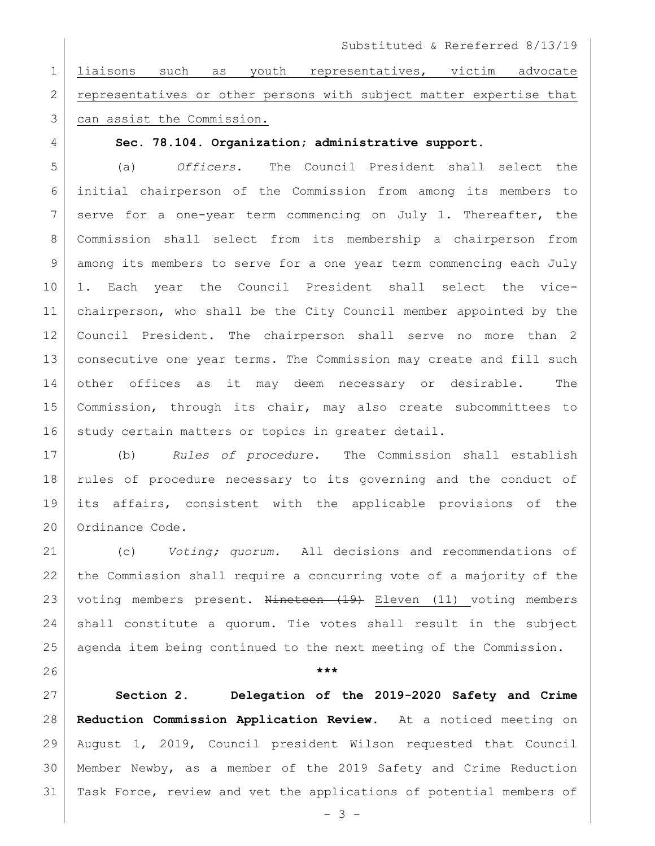Substituted & Rereferred 8/13/19

 liaisons such as youth representatives, victim advocate 2 representatives or other persons with subject matter expertise that can assist the Commission.

**Sec. 78.104. Organization; administrative support.**

 (a) *Officers.* The Council President shall select the initial chairperson of the Commission from among its members to 7 serve for a one-year term commencing on July 1. Thereafter, the Commission shall select from its membership a chairperson from among its members to serve for a one year term commencing each July 1. Each year the Council President shall select the vice- chairperson, who shall be the City Council member appointed by the Council President. The chairperson shall serve no more than 2 consecutive one year terms. The Commission may create and fill such other offices as it may deem necessary or desirable. The Commission, through its chair, may also create subcommittees to 16 study certain matters or topics in greater detail.

 (b) *Rules of procedure***.** The Commission shall establish rules of procedure necessary to its governing and the conduct of its affairs, consistent with the applicable provisions of the 20 Ordinance Code.

 (c) *Voting; quorum.* All decisions and recommendations of the Commission shall require a concurring vote of a majority of the 23 voting members present. Nineteen (19) Eleven (11) voting members shall constitute a quorum. Tie votes shall result in the subject agenda item being continued to the next meeting of the Commission.

**\*\*\***

 **Section 2. Delegation of the 2019-2020 Safety and Crime Reduction Commission Application Review.** At a noticed meeting on August 1, 2019, Council president Wilson requested that Council Member Newby, as a member of the 2019 Safety and Crime Reduction Task Force, review and vet the applications of potential members of

 $- 3 -$